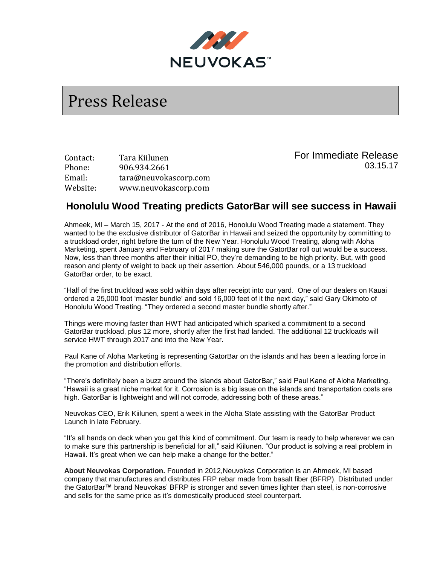

## Press Release

Contact: Tara Kiilunen Phone: 906.934.2661 Email: tara@neuvokascorp.com Website: www.neuvokascorp.com

For Immediate Release 03.15.17

## **Honolulu Wood Treating predicts GatorBar will see success in Hawaii**

Ahmeek, MI – March 15, 2017 - At the end of 2016, Honolulu Wood Treating made a statement. They wanted to be the exclusive distributor of GatorBar in Hawaii and seized the opportunity by committing to a truckload order, right before the turn of the New Year. Honolulu Wood Treating, along with Aloha Marketing, spent January and February of 2017 making sure the GatorBar roll out would be a success. Now, less than three months after their initial PO, they're demanding to be high priority. But, with good reason and plenty of weight to back up their assertion. About 546,000 pounds, or a 13 truckload GatorBar order, to be exact.

"Half of the first truckload was sold within days after receipt into our yard. One of our dealers on Kauai ordered a 25,000 foot 'master bundle' and sold 16,000 feet of it the next day," said Gary Okimoto of Honolulu Wood Treating. "They ordered a second master bundle shortly after."

Things were moving faster than HWT had anticipated which sparked a commitment to a second GatorBar truckload, plus 12 more, shortly after the first had landed. The additional 12 truckloads will service HWT through 2017 and into the New Year.

Paul Kane of Aloha Marketing is representing GatorBar on the islands and has been a leading force in the promotion and distribution efforts.

"There's definitely been a buzz around the islands about GatorBar," said Paul Kane of Aloha Marketing. "Hawaii is a great niche market for it. Corrosion is a big issue on the islands and transportation costs are high. GatorBar is lightweight and will not corrode, addressing both of these areas."

Neuvokas CEO, Erik Kiilunen, spent a week in the Aloha State assisting with the GatorBar Product Launch in late February.

"It's all hands on deck when you get this kind of commitment. Our team is ready to help wherever we can to make sure this partnership is beneficial for all," said Kiilunen. "Our product is solving a real problem in Hawaii. It's great when we can help make a change for the better."

**About Neuvokas Corporation.** Founded in 2012,Neuvokas Corporation is an Ahmeek, MI based company that manufactures and distributes FRP rebar made from basalt fiber (BFRP). Distributed under the GatorBar**™** brand Neuvokas' BFRP is stronger and seven times lighter than steel, is non-corrosive and sells for the same price as it's domestically produced steel counterpart.